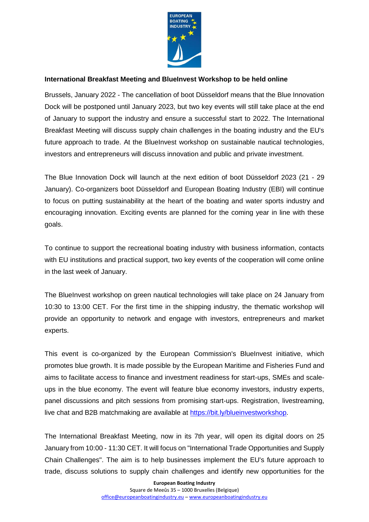

## **International Breakfast Meeting and BlueInvest Workshop to be held online**

Brussels, January 2022 - The cancellation of boot Düsseldorf means that the Blue Innovation Dock will be postponed until January 2023, but two key events will still take place at the end of January to support the industry and ensure a successful start to 2022. The International Breakfast Meeting will discuss supply chain challenges in the boating industry and the EU's future approach to trade. At the BlueInvest workshop on sustainable nautical technologies, investors and entrepreneurs will discuss innovation and public and private investment.

The Blue Innovation Dock will launch at the next edition of boot Düsseldorf 2023 (21 - 29 January). Co-organizers boot Düsseldorf and European Boating Industry (EBI) will continue to focus on putting sustainability at the heart of the boating and water sports industry and encouraging innovation. Exciting events are planned for the coming year in line with these goals.

To continue to support the recreational boating industry with business information, contacts with EU institutions and practical support, two key events of the cooperation will come online in the last week of January.

The BlueInvest workshop on green nautical technologies will take place on 24 January from 10:30 to 13:00 CET. For the first time in the shipping industry, the thematic workshop will provide an opportunity to network and engage with investors, entrepreneurs and market experts.

This event is co-organized by the European Commission's BlueInvest initiative, which promotes blue growth. It is made possible by the European Maritime and Fisheries Fund and aims to facilitate access to finance and investment readiness for start-ups, SMEs and scaleups in the blue economy. The event will feature blue economy investors, industry experts, panel discussions and pitch sessions from promising start-ups. Registration, livestreaming, live chat and B2B matchmaking are available at [https://bit.ly/blueinvestworkshop.](https://bit.ly/blueinvestworkshop)

The International Breakfast Meeting, now in its 7th year, will open its digital doors on 25 January from 10:00 - 11:30 CET. It will focus on "International Trade Opportunities and Supply Chain Challenges". The aim is to help businesses implement the EU's future approach to trade, discuss solutions to supply chain challenges and identify new opportunities for the